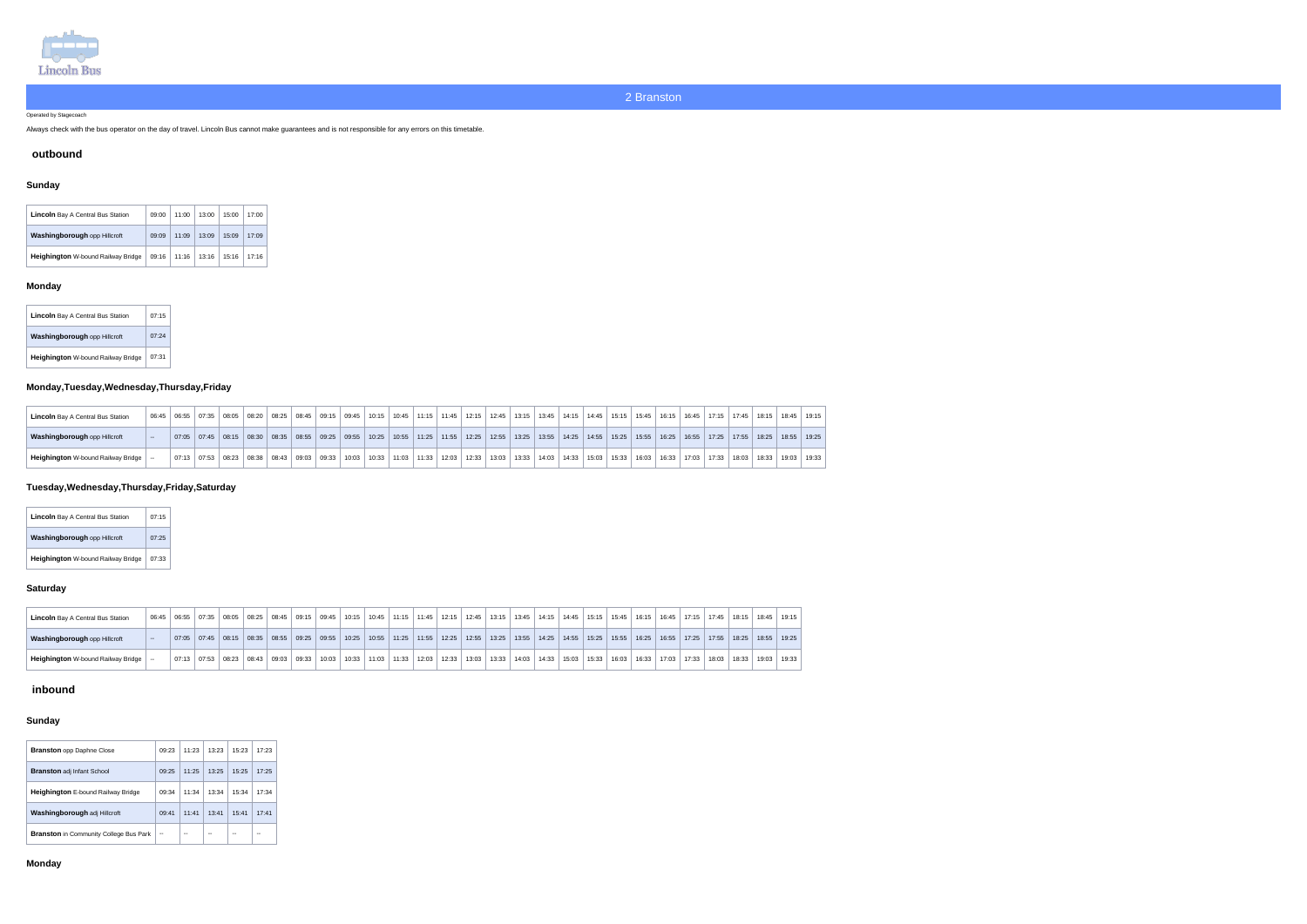

Operated by Stagecoach

Always check with the bus operator on the day of travel. Lincoln Bus cannot make guarantees and is not responsible for any errors on this timetable.

#### **outbound**

# **Sunday**

| <b>Lincoln</b> Bay A Central Bus Station  | 09:00 | 11:00 | 13:00 | 15:00 | 17:00 |
|-------------------------------------------|-------|-------|-------|-------|-------|
| <b>Washingborough opp Hillcroft</b>       | 09:09 | 11:09 | 13:09 | 15:09 | 17:09 |
| <b>Heighington W-bound Railway Bridge</b> | 09:16 | 11:16 | 13:16 | 15:16 | 17:16 |

## **Monday**

| <b>Lincoln</b> Bay A Central Bus Station  | 07:15 |  |
|-------------------------------------------|-------|--|
| Washingborough opp Hillcroft              | 07.24 |  |
| <b>Heighington</b> W-bound Railway Bridge | 07:31 |  |

# **Monday,Tuesday,Wednesday,Thursday,Friday**

| <b>Lincoln</b> Bay A Central Bus Station | 06:45 | 06:55 | 07:35                   | 08:05 | 08:20 | $\vert$ 08:25 $\vert$ 08:45 $\vert$ 09:15 $\vert$ |  |                                                   | $09:45$   10:15 | 10:45 |                                 | $11:15$   11:45 | 12:15 | 12:45 |                               |  | 13:15   13:45   14:15   14:45                         | 15:15   15:45   16:15 |       |       | 16:45 |       | $ $ 17:15 $ $ 17:45 $ $ | 18:15 | 18:45 19:15   |  |
|------------------------------------------|-------|-------|-------------------------|-------|-------|---------------------------------------------------|--|---------------------------------------------------|-----------------|-------|---------------------------------|-----------------|-------|-------|-------------------------------|--|-------------------------------------------------------|-----------------------|-------|-------|-------|-------|-------------------------|-------|---------------|--|
| <b>Washingborough opp Hillcroft</b>      |       |       | $07:05$ $07:45$ $08:15$ |       |       | $08:30$ $08:35$ $08:55$ $09:25$                   |  | $\vert$ 09:55 $\vert$ 10:25 $\vert$ 10:55 $\vert$ |                 |       | $11:25$   11:55   12:25   12:55 |                 |       |       |                               |  | 13:25   13:55   14:25   14:55   15:25   15:55   16:25 |                       |       |       | 16:55 |       | 17:25   17:55           | 18:25 | $18:55$ 19:25 |  |
| Heighington W-bound Railway Bridge       |       | 07:13 | 07:53                   | 08:23 | 08:38 | 08:43   09:03   09:33 $\frac{1}{2}$               |  | 10:03                                             | 10:33   11:03   |       | 11:33                           | 12:03           | 12:33 | 13:03 | 13:33   14:03   14:33   15:03 |  |                                                       | 15:33                 | 16:03 | 16:33 | 17:03 | 17:33 | 18:03                   | 18:33 | 19:03   19:33 |  |

# **Tuesday,Wednesday,Thursday,Friday,Saturday**

| <b>Lincoln</b> Bay A Central Bus Station  | 07:15 |
|-------------------------------------------|-------|
| Washingborough opp Hillcroft              | 07.25 |
| <b>Heighington</b> W-bound Railway Bridge | 07.33 |

#### **Saturday**

| <b>Lincoln</b> Bay A Central Bus Station  | 06:45           | 06:55 | 07:35         | 08:05 | 08:25   | 08:45               | 09:15 09:45         |       |       |                   | $10:15$   10:45   11:15   11:45   12:15   12:45 |       | │ 13:15 │ 13:45 │ 14:15 │ 14:45 │ 15:15 │ 15:45 │ |       |               |       | $16:15$ 16:45 | 17:15 | 17:45 | 18:15 | 18:45 | 19:15 |
|-------------------------------------------|-----------------|-------|---------------|-------|---------|---------------------|---------------------|-------|-------|-------------------|-------------------------------------------------|-------|---------------------------------------------------|-------|---------------|-------|---------------|-------|-------|-------|-------|-------|
| <b>Washingborough opp Hillcroft</b>       | <b>Contract</b> |       | $07:05$ 07:45 | 08:15 |         | $\big $ 08:35 08:55 | $\vert$ 09:25 09:55 |       |       |                   | 10:25   10:55   11:25   11:55   12:25   12:55   |       | 13:25   13:55   14:25                             |       | $14:55$ 15:25 | 15:55 | $16:25$ 16:55 | 17:25 | 17:55 | 18:25 | 18:55 | 19:25 |
| <b>Heighington</b> W-bound Railway Bridge |                 |       | $07:13$ 07:53 | 08:23 | . 08:43 | 09:03               | 09:33               | 10:03 | 10:33 | │ 11:03 │ 11:33 │ | │ 12:03 │ 12:33 │                               | 13:03 | $13:33$   14:03                                   | 14:33 | 15.03 15.33   | 16:03 | 16.33 17.03   | 17:33 | 18:03 | 18:33 | 19:03 | 19:33 |

## **inbound**

## **Sunday**

| <b>Branston</b> opp Daphne Close              | 09.23 | 11:23 | 13:23 | 15:23 | 17:23 |
|-----------------------------------------------|-------|-------|-------|-------|-------|
| <b>Branston adj Infant School</b>             | 09.25 | 11:25 | 13:25 | 15.25 | 17:25 |
| <b>Heighington</b> E-bound Railway Bridge     | 09:34 | 11:34 | 13:34 | 15:34 | 17:34 |
| Washingborough adj Hillcroft                  | 09:41 | 11:41 | 13:41 | 15:41 | 17:41 |
| <b>Branston</b> in Community College Bus Park | --    |       |       | --    |       |

## **Monday**